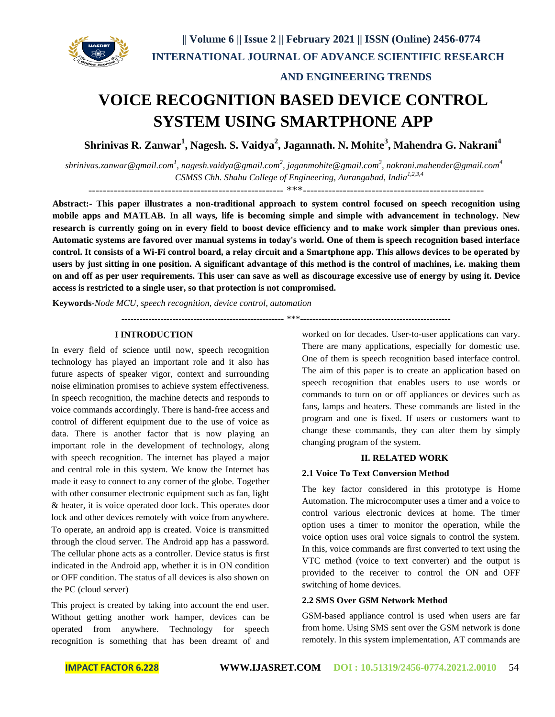

# **VOICE RECOGNITION BASED DEVICE CONTROL SYSTEM USING SMARTPHONE APP**

**Shrinivas R. Zanwar<sup>1</sup> , Nagesh. S. Vaidya<sup>2</sup> , Jagannath. N. Mohite<sup>3</sup> , Mahendra G. Nakrani<sup>4</sup>**

*[shrinivas.zanwar@gmail.com](mailto:shrinivas.zanwar@gmail.com)<sup>1</sup> , [nagesh.vaidya@gmail.com](mailto:nagesh.vaidya@gmail.com)<sup>2</sup> , [jaganmohite@gmail.com](mailto:jaganmohite@gmail.com)<sup>3</sup> , [nakrani.mahender@gmail.com](mailto:nakrani.mahender@gmail.com)<sup>4</sup> CSMSS Chh. Shahu College of Engineering, Aurangabad, India1,2,3,4*

------------------------------------------------------ \*\*\*--------------------------------------------------

**Abstract:- This paper illustrates a non-traditional approach to system control focused on speech recognition using mobile apps and MATLAB. In all ways, life is becoming simple and simple with advancement in technology. New research is currently going on in every field to boost device efficiency and to make work simpler than previous ones. Automatic systems are favored over manual systems in today's world. One of them is speech recognition based interface control. It consists of a Wi-Fi control board, a relay circuit and a Smartphone app. This allows devices to be operated by users by just sitting in one position. A significant advantage of this method is the control of machines, i.e. making them on and off as per user requirements. This user can save as well as discourage excessive use of energy by using it. Device access is restricted to a single user, so that protection is not compromised.**

**Keywords-***Node MCU, speech recognition, device control, automation*

------------------------------------------------------ \*\*\*--------------------------------------------------

#### **I INTRODUCTION**

In every field of science until now, speech recognition technology has played an important role and it also has future aspects of speaker vigor, context and surrounding noise elimination promises to achieve system effectiveness. In speech recognition, the machine detects and responds to voice commands accordingly. There is hand-free access and control of different equipment due to the use of voice as data. There is another factor that is now playing an important role in the development of technology, along with speech recognition. The internet has played a major and central role in this system. We know the Internet has made it easy to connect to any corner of the globe. Together with other consumer electronic equipment such as fan, light & heater, it is voice operated door lock. This operates door lock and other devices remotely with voice from anywhere. To operate, an android app is created. Voice is transmitted through the cloud server. The Android app has a password. The cellular phone acts as a controller. Device status is first indicated in the Android app, whether it is in ON condition or OFF condition. The status of all devices is also shown on the PC (cloud server)

This project is created by taking into account the end user. Without getting another work hamper, devices can be operated from anywhere. Technology for speech recognition is something that has been dreamt of and

worked on for decades. User-to-user applications can vary. There are many applications, especially for domestic use. One of them is speech recognition based interface control. The aim of this paper is to create an application based on speech recognition that enables users to use words or commands to turn on or off appliances or devices such as fans, lamps and heaters. These commands are listed in the program and one is fixed. If users or customers want to change these commands, they can alter them by simply changing program of the system.

#### **II. RELATED WORK**

#### **2.1 Voice To Text Conversion Method**

The key factor considered in this prototype is Home Automation. The microcomputer uses a timer and a voice to control various electronic devices at home. The timer option uses a timer to monitor the operation, while the voice option uses oral voice signals to control the system. In this, voice commands are first converted to text using the VTC method (voice to text converter) and the output is provided to the receiver to control the ON and OFF switching of home devices.

#### **2.2 SMS Over GSM Network Method**

GSM-based appliance control is used when users are far from home. Using SMS sent over the GSM network is done remotely. In this system implementation, AT commands are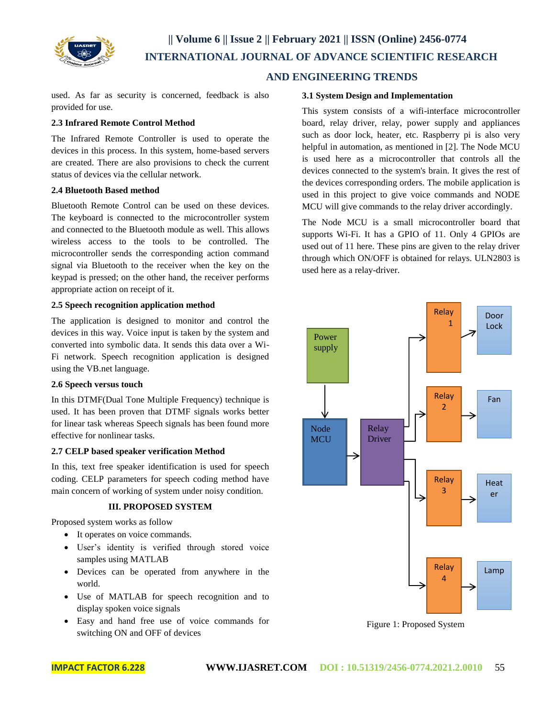

used. As far as security is concerned, feedback is also provided for use.

#### **2.3 Infrared Remote Control Method**

The Infrared Remote Controller is used to operate the devices in this process. In this system, home-based servers are created. There are also provisions to check the current status of devices via the cellular network.

#### **2.4 Bluetooth Based method**

Bluetooth Remote Control can be used on these devices. The keyboard is connected to the microcontroller system and connected to the Bluetooth module as well. This allows wireless access to the tools to be controlled. The microcontroller sends the corresponding action command signal via Bluetooth to the receiver when the key on the keypad is pressed; on the other hand, the receiver performs appropriate action on receipt of it.

#### **2.5 Speech recognition application method**

The application is designed to monitor and control the devices in this way. Voice input is taken by the system and converted into symbolic data. It sends this data over a Wi-Fi network. Speech recognition application is designed using the VB.net language.

#### **2.6 Speech versus touch**

In this DTMF(Dual Tone Multiple Frequency) technique is used. It has been proven that DTMF signals works better for linear task whereas Speech signals has been found more effective for nonlinear tasks.

#### **2.7 CELP based speaker verification Method**

In this, text free speaker identification is used for speech coding. CELP parameters for speech coding method have main concern of working of system under noisy condition.

#### **III. PROPOSED SYSTEM**

Proposed system works as follow

- It operates on voice commands.
- User's identity is verified through stored voice samples using MATLAB
- Devices can be operated from anywhere in the world.
- Use of MATLAB for speech recognition and to display spoken voice signals
- Easy and hand free use of voice commands for switching ON and OFF of devices

#### **3.1 System Design and Implementation**

This system consists of a wifi-interface microcontroller board, relay driver, relay, power supply and appliances such as door lock, heater, etc. Raspberry pi is also very helpful in automation, as mentioned in [2]. The Node MCU is used here as a microcontroller that controls all the devices connected to the system's brain. It gives the rest of the devices corresponding orders. The mobile application is used in this project to give voice commands and NODE MCU will give commands to the relay driver accordingly.

The Node MCU is a small microcontroller board that supports Wi-Fi. It has a GPIO of 11. Only 4 GPIOs are used out of 11 here. These pins are given to the relay driver through which ON/OFF is obtained for relays. ULN2803 is used here as a relay-driver.



Figure 1: Proposed System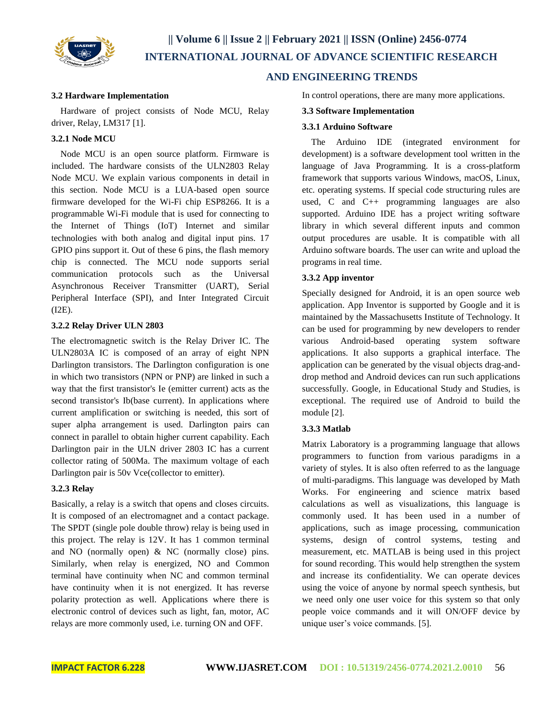

#### **3.2 Hardware Implementation**

Hardware of project consists of Node MCU, Relay driver, Relay, LM317 [1].

#### **3.2.1 Node MCU**

Node MCU is an open source platform. Firmware is included. The hardware consists of the ULN2803 Relay Node MCU. We explain various components in detail in this section. Node MCU is a LUA-based open source firmware developed for the Wi-Fi chip ESP8266. It is a programmable Wi-Fi module that is used for connecting to the Internet of Things (IoT) Internet and similar technologies with both analog and digital input pins. 17 GPIO pins support it. Out of these 6 pins, the flash memory chip is connected. The MCU node supports serial communication protocols such as the Universal Asynchronous Receiver Transmitter (UART), Serial Peripheral Interface (SPI), and Inter Integrated Circuit (I2E).

#### **3.2.2 Relay Driver ULN 2803**

The electromagnetic switch is the Relay Driver IC. The ULN2803A IC is composed of an array of eight NPN Darlington transistors. The Darlington configuration is one in which two transistors (NPN or PNP) are linked in such a way that the first transistor's Ie (emitter current) acts as the second transistor's Ib(base current). In applications where current amplification or switching is needed, this sort of super alpha arrangement is used. Darlington pairs can connect in parallel to obtain higher current capability. Each Darlington pair in the ULN driver 2803 IC has a current collector rating of 500Ma. The maximum voltage of each Darlington pair is 50v Vce(collector to emitter).

#### **3.2.3 Relay**

Basically, a relay is a switch that opens and closes circuits. It is composed of an electromagnet and a contact package. The SPDT (single pole double throw) relay is being used in this project. The relay is 12V. It has 1 common terminal and NO (normally open) & NC (normally close) pins. Similarly, when relay is energized, NO and Common terminal have continuity when NC and common terminal have continuity when it is not energized. It has reverse polarity protection as well. Applications where there is electronic control of devices such as light, fan, motor, AC relays are more commonly used, i.e. turning ON and OFF.

In control operations, there are many more applications.

#### **3.3 Software Implementation**

#### **3.3.1 Arduino Software**

The Arduino IDE (integrated environment for development) is a software development tool written in the language of Java Programming. It is a cross-platform framework that supports various Windows, macOS, Linux, etc. operating systems. If special code structuring rules are used, C and C++ programming languages are also supported. Arduino IDE has a project writing software library in which several different inputs and common output procedures are usable. It is compatible with all Arduino software boards. The user can write and upload the programs in real time.

#### **3.3.2 App inventor**

Specially designed for Android, it is an open source web application. App Inventor is supported by Google and it is maintained by the Massachusetts Institute of Technology. It can be used for programming by new developers to render various Android-based operating system software applications. It also supports a graphical interface. The application can be generated by the visual objects drag-anddrop method and Android devices can run such applications successfully. Google, in Educational Study and Studies, is exceptional. The required use of Android to build the module [2].

### **3.3.3 Matlab**

Matrix Laboratory is a programming language that allows programmers to function from various paradigms in a variety of styles. It is also often referred to as the language of multi-paradigms. This language was developed by Math Works. For engineering and science matrix based calculations as well as visualizations, this language is commonly used. It has been used in a number of applications, such as image processing, communication systems, design of control systems, testing and measurement, etc. MATLAB is being used in this project for sound recording. This would help strengthen the system and increase its confidentiality. We can operate devices using the voice of anyone by normal speech synthesis, but we need only one user voice for this system so that only people voice commands and it will ON/OFF device by unique user's voice commands. [5].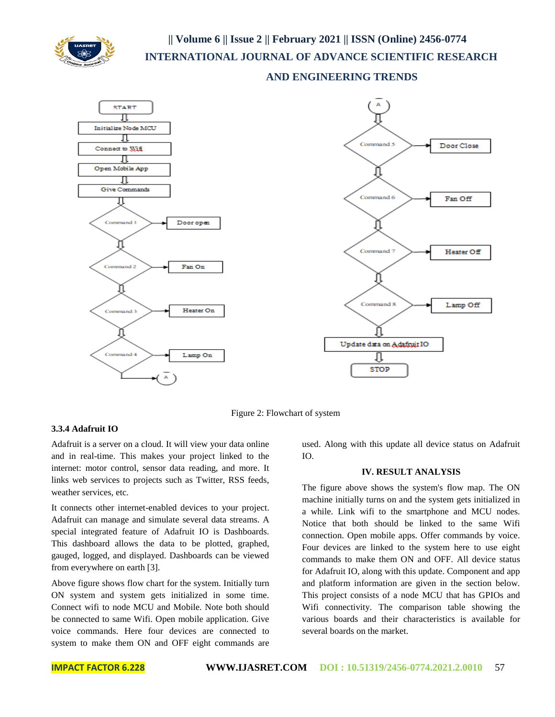





Figure 2: Flowchart of system

#### **3.3.4 Adafruit IO**

Adafruit is a server on a cloud. It will view your data online and in real-time. This makes your project linked to the internet: motor control, sensor data reading, and more. It links web services to projects such as Twitter, RSS feeds, weather services, etc.

It connects other internet-enabled devices to your project. Adafruit can manage and simulate several data streams. A special integrated feature of Adafruit IO is Dashboards. This dashboard allows the data to be plotted, graphed, gauged, logged, and displayed. Dashboards can be viewed from everywhere on earth [3].

Above figure shows flow chart for the system. Initially turn ON system and system gets initialized in some time. Connect wifi to node MCU and Mobile. Note both should be connected to same Wifi. Open mobile application. Give voice commands. Here four devices are connected to system to make them ON and OFF eight commands are

used. Along with this update all device status on Adafruit IO.

#### **IV. RESULT ANALYSIS**

The figure above shows the system's flow map. The ON machine initially turns on and the system gets initialized in a while. Link wifi to the smartphone and MCU nodes. Notice that both should be linked to the same Wifi connection. Open mobile apps. Offer commands by voice. Four devices are linked to the system here to use eight commands to make them ON and OFF. All device status for Adafruit IO, along with this update. Component and app and platform information are given in the section below. This project consists of a node MCU that has GPIOs and Wifi connectivity. The comparison table showing the various boards and their characteristics is available for several boards on the market.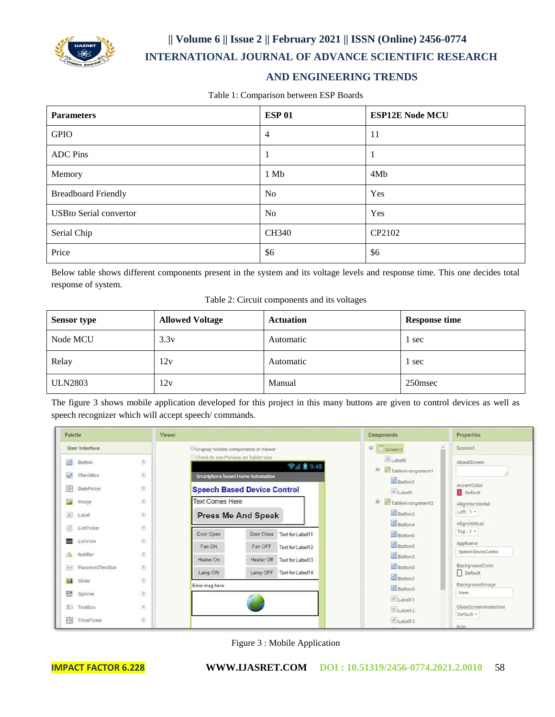

**|| Volume 6 || Issue 2 || February 2021 || ISSN (Online) 2456-0774 INTERNATIONAL JOURNAL OF ADVANCE SCIENTIFIC RESEARCH** 

# **AND ENGINEERING TRENDS**

Table 1: Comparison between ESP Boards

| <b>Parameters</b>             | <b>ESP01</b>   | <b>ESP12E Node MCU</b> |
|-------------------------------|----------------|------------------------|
| <b>GPIO</b>                   | $\overline{4}$ | 11                     |
| <b>ADC</b> Pins               | -1             |                        |
| Memory                        | 1 Mb           | 4Mb                    |
| <b>Breadboard Friendly</b>    | No             | Yes                    |
| <b>USBto Serial convertor</b> | N <sub>o</sub> | Yes                    |
| Serial Chip                   | CH340          | CP2102                 |
| Price                         | \$6            | \$6                    |

Below table shows different components present in the system and its voltage levels and response time. This one decides total response of system.

Table 2: Circuit components and its voltages

| <b>Sensor type</b> | <b>Allowed Voltage</b> | <b>Actuation</b> | <b>Response time</b> |
|--------------------|------------------------|------------------|----------------------|
| Node MCU           | 3.3v                   | Automatic        | 1 sec                |
| Relay              | 12v                    | Automatic        | 1 sec                |
| <b>ULN2803</b>     | 12v                    | Manual           | 250msec              |

The figure 3 shows mobile application developed for this project in this many buttons are given to control devices as well as speech recognizer which will accept speech/ commands.

| Palette                              |                           | Viewer                               |                                    | Components                   | Properties                        |
|--------------------------------------|---------------------------|--------------------------------------|------------------------------------|------------------------------|-----------------------------------|
| User Interface                       |                           | Display hidden components in Viewer  |                                    | $\blacksquare$<br>Screen1    | Screen1                           |
| 歸<br>Button                          | 医                         | Check to see Preview on Tablet size. | ● 4 ■ 9:48                         | A Labels<br>Θ                | AboutScreen                       |
| $\overline{\mathscr{S}}$<br>CheckBox | (6)                       | Smartphone based Home Automation     |                                    | TableArrangement1<br>Button1 |                                   |
| 閳<br><b>DatePicker</b>               | $\langle \hat{T} \rangle$ |                                      | <b>Speech Based Device Control</b> | A Label9                     | AccentColor<br>Default            |
| 54<br>Image                          | (F)                       | <b>Text Comes Here</b>               |                                    | 8<br>TableArrangement2       | AlignHorizontal                   |
| A<br>Label                           | 团                         |                                      | <b>Press Me And Speak</b>          | Button2                      | Left:1 -                          |
| 目<br>ListPicker                      | $\circledR$               | Door Open                            | Door Close Text for Label11        | Button4<br>Button6           | AlignVertical<br>Top:1.           |
| =<br>ListView                        | 贡                         | Fan ON                               | Fan OFF<br>Text for Label12        | Button <sub>8</sub>          | AppName                           |
| ж<br>Notifier                        | $\circledR$               | Heater On                            | Heater Off<br>Text for Label13     | Button3                      | Speech DeviceControl              |
| PasswordTextBox<br>$\alpha$ $\alpha$ | 田                         | Lamp ON                              | Lamp OFF<br>Text for Label14       | Button5                      | BackgroundColor<br>$\Box$ Default |
| <b>Bill</b><br>Slider                | G                         | Error msg here                       |                                    | Button?                      | Backgroundlmage                   |
| 雷<br>Spinner                         | $\overline{3}$            |                                      |                                    | Button9<br>A Labell 1        | None                              |
| m<br>TextBox                         | 企                         |                                      |                                    | Aliabell2                    | CloseScreenAnimation              |
| 頙<br>TimePicker                      | 仿                         |                                      |                                    | A Labell 3                   | Default -<br><b>Jcon</b>          |

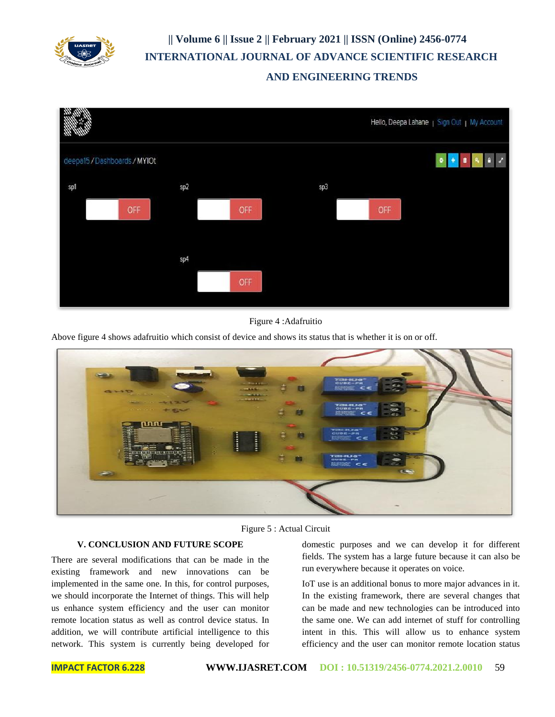

**|| Volume 6 || Issue 2 || February 2021 || ISSN (Online) 2456-0774 INTERNATIONAL JOURNAL OF ADVANCE SCIENTIFIC RESEARCH AND ENGINEERING TRENDS**



Figure 4 :Adafruitio

Above figure 4 shows adafruitio which consist of device and shows its status that is whether it is on or off.



Figure 5 : Actual Circuit

#### **V. CONCLUSION AND FUTURE SCOPE**

There are several modifications that can be made in the existing framework and new innovations can be implemented in the same one. In this, for control purposes, we should incorporate the Internet of things. This will help us enhance system efficiency and the user can monitor remote location status as well as control device status. In addition, we will contribute artificial intelligence to this network. This system is currently being developed for

domestic purposes and we can develop it for different fields. The system has a large future because it can also be run everywhere because it operates on voice.

IoT use is an additional bonus to more major advances in it. In the existing framework, there are several changes that can be made and new technologies can be introduced into the same one. We can add internet of stuff for controlling intent in this. This will allow us to enhance system efficiency and the user can monitor remote location status